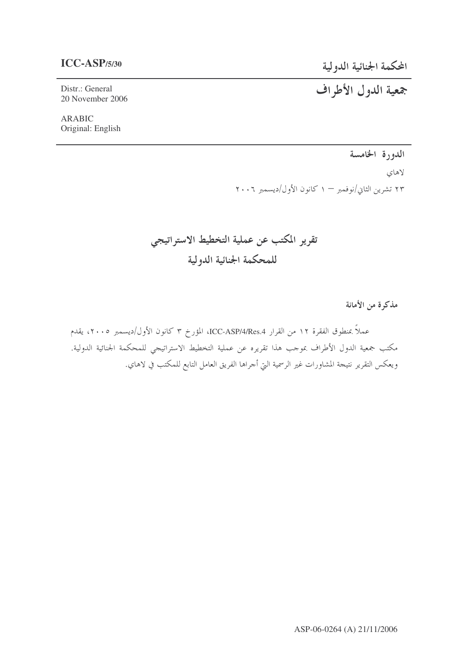## $ICC-ASP/5/30$

المحكمة الجنائية الدولية

جمعية الدول الأطراف

Distr.: General 20 November 2006

**ARABIC** Original: English

الدورة الخامسة

لاهاى ٢٣ تشرين الثاني/نوفمبر – ١ كانون الأول/ديسمبر ٢٠٠٦

تقرير المكتب عن عملية التخطيط الاستراتيجي للمحكمة الجنائية الدولية

مذكرة من الأمانة

عملاً بمنطوق الفقرة ١٢ من القرار ICC-ASP/4/Res.4، المؤرخ ٣ كانون الأول/ديسمبر ٢٠٠٥، يقدم مكتب جمعية الدول الأطراف بموجب هذا تقريره عن عملية التخطيط الاستراتيجي للمحكمة الجنائية الدولية. ويعكس التقرير نتيجة المشاورات غير الرسمية التي أجراها الفريق العامل التابع للمكتب في لاهاي.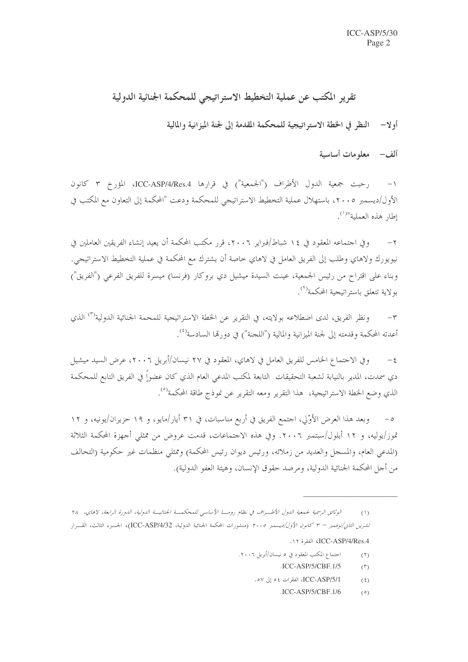# تقرير المكتب عن عملية التخطيط الاستراتيجي للمحكمة الجنائية الدولية

أولا— النظر في الخطة الاستراتيجية للمحكمة المقدمة إلى لجنة الميزانية والمالية

ألف – معلومات أساسية

الأول/ديسمبر ٢٠٠٥، باستهلال عملية التخطيط الاستراتيجي للمحكمة ودعت "المحكمة إلى التعاون مع المكتب في إطار هذه العملية"<sup>(١)</sup>.

وفي احتماعه المعقود في ١٤ شباط/فبراير ٢٠٠٦، قرر مكتب المحكمة أن يعيد إنشاء الفريقين العاملين في نيويورك ولاهاي وطلب إلى الفريق العامل في لاهاي خاصة أن يشترك مع المحكمة في عملية التخطيط الاستراتيجي. وبناء على اقتراح من رئيس الجمعية، عينت السيدة ميشيل دي بروكار (فرنسا) ميسرة للفريق الفرعي ("الفريق") بولاية تتعلق باستراتيجية المحكمة<sup>(٢)</sup>.

ونظر الفريق، لدى اضطلاعه بولايته، في التقرير عن الخطة الاستراتيجية للمحمة الجنائية الدولية<sup>(٣)</sup> الذي  $-\tau$ أعدته المحكمة وقدمته إلى لجنة الميزانية والمالية ("اللجنة") في دورتما السادسة<sup>(٤)</sup>.

وفي الاحتماع الخامس للفريق العامل في لاهاي، المعقود في ٢٧ نيسان/أبريل ٢٠٠٦، عرض السيد ميشيل  $-\xi$ دي سمدت، المدير بالنيابة لشعبة التحقيقات التابعة لمكتب المدعى العام الذي كان عضواً في الفريق التابع للمحكمة الذي وضع الخطة الاستراتيجية، هذا التقرير ومعه التقرير عن نموذج طاقة المحكمة<sup>(٥)</sup>.

وبعد هذا العرض الأوَّلي، اجتمع الفريق في أربع مناسبات، في ٣١ أيار/مايو، و ١٩ حزيران/يونيه، و ١٢ تموز/يوليه، و ١٢ أيلول/سبتمبر ٢٠٠٦. وفي هذه الاحتماعات، قدمت عروض من ممثلي أحهزة المحكمة الثلاثة (المدعى العام، والمسجل والعديد من زملائه، ورئيس ديوان رئيس المحكمة) وممثلي منظمات غير حكومية (التحالف من أحل المحكمة الجنائية الدولية، ومرصد حقوق الإنسان، وهيئة العفو الدولية).

- اجتماع المكتب المعقود في ٥ نيسان/أبريل ٢٠٠٦.  $(1)$ 
	- $ICC-ASP/5/CBF.1/5$  $(\tau)$
	- ICC-ASP/5/1. الفقرات ٥٤ إلى ٥٧.  $(5)$ 
		- $ICC-ASP/5/CBF.1/6$  $(°)$

الوثائق الرسمية لجمعية الدول الأطـــراف في نظام رومــــا الأساسي للمحكمـــة الجنائيـــة الدولية، الدورة الرابعة، لاهاي، ٢٨  $(1)$ تشر*ين الثان/نوفمبر – ٣ كانون الأول/ديسمبر ٢٠٠٥* (منشورات المحكمة الجنائية الدولية، ICC-ASP/4/32)، الجسـزء الثالث، القسـرار ICC-ASP/4/Res.4، الفقرة ١٢.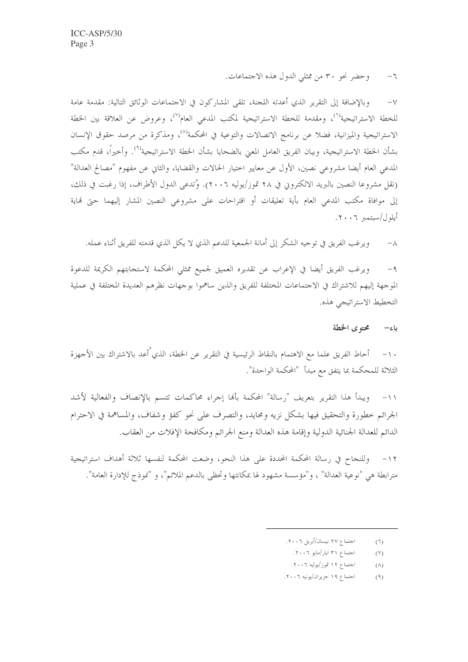وحضر نجو ٣٠ من ممثلي الدول هذه الاجتماعات.  $-7$ 

وبالإضافة إلى التقرير الذي أعدته اللجنة، تلقى المشاركون في الاجتماعات الوثائق التالية: مقدمة عامة  $-\vee$ للخطة الاستراتيجية<sup>(٦)</sup>، ومقدمة للخطة الاستراتيجية لمكتب المدعى العام<sup>(٧)</sup>، وعروض عن العلاقة بين الخطة الاستراتيجية والميزانية، فضلا عن برنامج الاتصالات والتوعية في المحكمة'<sup>٨)</sup>، ومذكرة من مرصد حقوق الإنسان بشأن الخطة الاستراتيجية، وبيان الفريق العامل المعنى بالضحايا بشأن الخطة الاستراتيجية<sup>(٩)</sup>. وأخيراً، قدم مكتب المدعى العام أيضا مشروعي نصين، الأول عن معايير احتيار الحالات والقضايا، والثاني عن مفهوم "مصالح العدالة" (نقل مشروعا النصين بالبريد الالكتروني في ٢٨ تموز/يوليه ٢٠٠٦). وُتدعى الدول الأطراف، إذا رغبت في ذلك، إلى موافاة مكتب المدعى العام بأية تعليقات أو اقتراحات على مشروعي النصين المشار إليهما حتى نماية أيلول/سبتمبر ٢٠٠٦.

ويرغب الفريق في توجيه الشكر إلى أمانة الجمعية للدعم الذي لا يكل الذي قدمته للفريق أثناء عمله.  $-\lambda$ 

ويرغب الفريق أيضا في الإعراب عن تقديره العميق لجميع ممثلي المحكمة لاستجابتهم الكريمة للدعوة  $-9$ الموجهة إليهم للاشتراك في الاجتماعات المختلفة للفريق والذين ساهموا بوجهات نظرهم العديدة المختلفة في عملية التخطيط الاستراتيجي هذه.

### محته ي الخطة ياءِ—

١٠– أحاط الفريق علما مع الاهتمام بالنقاط الرئيسية في التقرير عن الخطة، الذي ُاعد بالاشتراك بين الأجهزة الثلاثة للمحكمة بما يتفق مع مبدأ "المحكمة الواحدة".

ويبدأ هذا التقرير بتعريف "رسالة" المحكمة بألها إجراء محاكمات تتسم بالإنصاف والفعالية لأشد  $-11$ الجرائم خطورة والتحقيق فيها بشكل نزيه ومحايد، والتصرف على نحو كفؤ وشفاف، والمساهمة في الاحترام الدائم للعدالة الجنائية الدولية وإقامة هذه العدالة ومنع الجرائم ومكافحة الإفلات من العقاب.

١٢– وللنجاح في رسالة المحكمة المحددة على هذا النحو، وضعت المحكمة لنفسها ثلاثة أهداف استراتيجية مترابطة هي "نوعية العدالة" ، و"مؤسسة مشهود لها بمكانتها وتحظى بالدعم الملائم"، و "نموذج للإدارة العامة".

- احتماع ٢٧ نيسان/أبريل ٢٠٠٦.  $(7)$ 
	- احتماع ۳۱ ایار/مایو ۲۰۰٦.  $(Y)$
	- احتماع ۱۲ تموز/يوليه ۲۰۰٦.  $(\wedge)$
- احتماع ١٩ حزيران/يونيه ٢٠٠٦.  $(9)$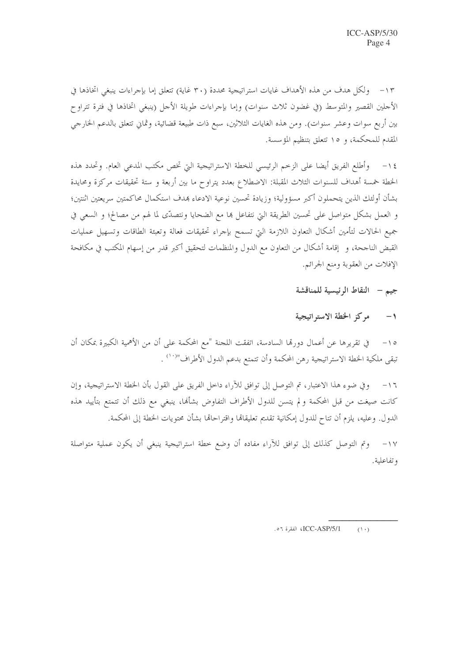١٣- ولكل هدف من هذه الأهداف غايات استراتيجية محددة (٣٠ غاية) تتعلق إما بإجراءات ينبغي اتخاذها في الأجلين القصير والمتوسط (في غضون ثلاث سنوات) وإما بإجراءات طويلة الأجل (ينبغي اتخاذها في فترة تتراوح بين أربع سوات وعشر سنوات). ومن هذه الغايات الثلاثين، سبع ذات طبيعة قضائية، وثماني تتعلق بالدعم الخارجي المقدم للمحكمة، و ١٥ تتعلق بتنظيم المؤسسة.

وأطلع الفريق أيضا على الزحم الرئيسي للخطة الاستراتيجية التي تخص مكتب المدعي العام. وتحدد هذه  $-\iota$ الخطة خمسة أهداف للسنوات الثلاث المقبلة: الاضطلاع بعدد يتراوح ما بين أربعة و ستة تحقيقات مركزة ومحايدة بشأن أولئك الذين يتحملون أكبر مسؤولية؛ وزيادة تحسين نوعية الادعاء بمدف استكمال محاكمتين سريعتين اثنتين؛ و العمل بشكل متواصل على تحسين الطريقة التي نتفاعل ها مع الضحايا ونتصدّى لما لهم من مصالح؛ و السعي في جميع الحالات لتأمين أشكال التعاون اللازمة التي تسمح بإحراء تحقيقات فعالة وتعبئة الطاقات وتسهيل عمليات القبض الناجحة، و إقامة أشكال من التعاون مع الدول والمنظمات لتحقيق أكبر قدر من إسهام المكتب في مكافحة الإفلات من العقوبة ومنع الجرائم.

### جيم - النقاط الرئيسية للمناقشة

### $-1$ مركز الخطة الاستراتيجية

في تقريرها عن أعمال دورها السادسة، اتفقت اللجنة "مع المحكمة على أن من الأهمية الكبيرة بمكان أن  $-10$ تبقى ملكية الخطة الاستراتيجية رهن المحكمة وأن تتمتع بدعم الدول الأطراف"<sup>(١٠)</sup> .

وفي ضوء هذا الاعتبار، تم التوصل إلى توافق للآراء داخل الفريق على القول بأن الخطة الاستراتيجية، وإن  $-17$ كانت صيغت من قبل المحكمة ولم يتسن للدول الأطراف التفاوض بشألها، ينبغي مع ذلك أن تتمتع بتأييد هذه الدول. وعليه، يلزم أن تتاح للدول إمكانية تقديم تعليقالها واقتراحالها بشأن محتويات الخطة إلى المحكمة.

وتم التوصل كذلك إلى توافق للآراء مفاده أن وضع حطة استراتيجية ينبغي أن يكون عملية متواصلة  $-1V$ وتفاعلية.

ICC-ASP/5/1، الفقرة ٥٦.  $(1 \cdot)$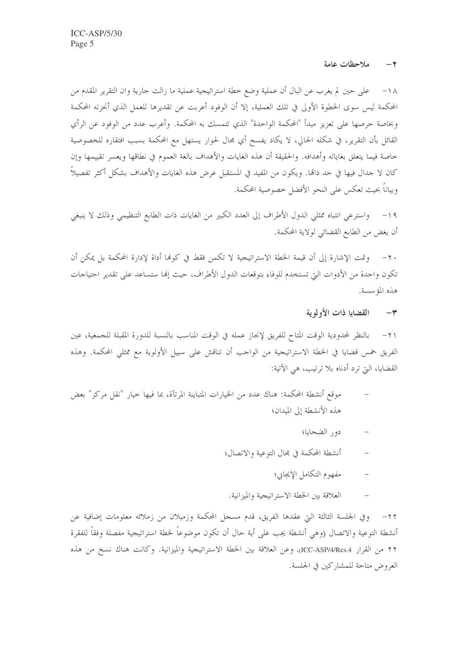#### ملاحظات عامة  $-\tau$

١٨– على حين لم يغرب عن البال أن عملية وضع خطة استراتيجية عملية ما زالت حارية وان التقرير المقدم من المحكمة ليس سوى الخطوة الأولى في تلك العملية، إلا أن الوفود أعربت عن تقديرها للعمل الذي أنجزته المحكمة وبخاصة حرصها على تعزيز مبدأ "المحكمة الواحدة" الذي تتمسك به المحكمة. وأعرب عدد من الوفود عن الرأي القائل بأن التقرير، في شكله الحالي، لا يكاد يفسح أي مجال لحوار يستهل مع المحكمة بسبب افتقاره للخصوصية خاصة فيما يتعلق بغاياته وأهدافه. والحقيقة أن هذه الغايات والأهداف بالغة العموم في نطاقها ويعسر تقييمها وإن كان لا حدال فيها في حد ذامًّا. ويكون من المفيد في المستقبل عرض هذه الغايات والأهداف بشكل أكثر تفصيلاً وبياناً بحيث تعكس على النحو الأفضل خصوصية المحكمة.

واسترعى انتباه ممثلي الدول الأطراف إلى العدد الكبير من الغايات ذات الطابع التنظيمي وذلك لا ينبغي  $-19$ أن يغض من الطابع القضائي لولاية المحكمة.

٢٠ – وتمت الإشارة إلى أن قيمة الخطة الاستراتيجية لا تكمن فقط في كوفما أداة لإدارة المحكمة بل يمكن أن تكون واحدة من الأدوات التي تستخدم للوفاء بتوقعات الدول الأطراف، حيث إلها ستساعد على تقدير احتياجات هذه المؤسسة.

> القضايا ذات الأولوية  $\sim$

٢١– بالنظر لمحدودية الوقت المتاح للفريق لإنجاز عمله في الوقت المناسب بالنسبة للدورة المقبلة للجمعية، عين الفريق خمس قضايا في الخطة الاستراتيجية من الواحب أن تناقش على سبيل الأولوية مع ممثلي المحكمة. وهذه القضايا، التي ترد أدناه بلا ترتيب، هي الآتية:

- موقع أنشطة المحكمة: هناك عدد من الخيارات المتباينة المرتآة، بما فيها حيار "نقل مركز" بعض هذه الأنشطة إلى الميدان؛
	- دور الضحايا؛
	- أنشطة المحكمة في مجال التوعية والاتصال؛
		- مفهوم التكامل الإيجابي؛  $\equiv$
	- العلاقة بين الخطة الاستراتيجية والميزانية.  $\overline{a}$

٢٢– وفي الجلسة الثالثة التي عقدها الفريق، قدم مسحل المحكمة وزميلان من زملائه معلومات إضافية عن أنشطة التوعية والاتصال (وهي أنشطة يجب على أية حال أن تكون موضوعاً لخطة استراتيجية مفصلة وفقاً للفقرة ٢٢ من القرار ICC-ASP/4/Res.4)، وعن العلاقة بين الخطة الاستراتيجية والميزانية. وكانت هناك نسخ من هذه العروض متاحة للمشاركين في الجلسة.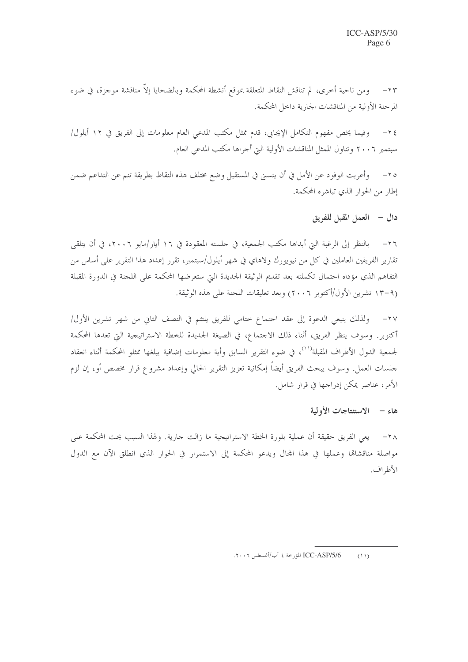٢٣ – ومن ناحية أخرى، لم تناقش النقاط المتعلقة بموقع أنشطة المحكمة وبالضحايا إلاّ مناقشة موجزة، في ضوء المرحلة الأولية من المناقشات الجارية داخل المحكمة.

وفيما يخص مفهوم التكامل الإيجابي، قدم ممثل مكتب المدعى العام معلومات إلى الفريق في ١٢ أيلول/  $-\tau$  { سبتمبر ٢٠٠٦ وتناول الممثل المناقشات الأولية التي أحراها مكتب المدعى العام.

٢٥– وأعربت الوفود عن الأمل في أن يتسنى في المستقبل وضع مختلف هذه النقاط بطريقة تنم عن التداعم ضمن إطار من الحوار الذي تباشره المحكمة.

دال – العمل المقبل للفريق

٢٦– بالنظر إلى الرغبة التي أبداها مكتب الجمعية، في حلسته المعقودة في ١٦ أيار/مايو ٢٠٠٦، في أن يتلقى تقارير الفريقين العاملين في كل من نيويورك ولاهاي في شهر أيلول/سبتمبر، تقرر إعداد هذا التقرير على أساس من التفاهم الذي مؤداه احتمال تكملته بعد تقديم الوثيقة الجديدة التي ستعرضها المحكمة على اللجنة في الدورة المقبلة (٩–١٣ تشرين الأول/أكتوبر ٢٠٠٦) وبعد تعليقات اللجنة على هذه الوثيقة.

٢٧- ولذلك ينبغي الدعوة إلى عقد احتماع ختامي للفريق يلتئم في النصف الثاني من شهر تشرين الأول/ أكتوبر. وسوف ينظر الفريق، أثناء ذلك الاحتماع، في الصيغة الجديدة للخطة الاستراتيجية التي تعدها المحكمة لجمعية الدول الأطراف المقبلة<sup>(١٠)</sup>، في ضوء التقرير السابق وأية معلومات إضافية يبلغها ممثلو المحكمة أثناء انعقاد جلسات العمل. وسوف يبحث الفريق أيضاً إمكانية تعزيز التقرير الحالي وإعداد مشروع قرار مخصص أو، إن لزم الأمر، عناصر يمكن إدراجها في قرار شامل.

### هاء - الاستنتاجات الأولية

٢٨– يعي الفريق حقيقة أن عملية بلورة الحطة الاستراتيجية ما زالت حارية. ولهذا السبب يحث المحكمة على مواصلة مناقشاقما وعملها في هذا المحال ويدعو المحكمة إلى الاستمرار في الحوار الذي انطلق الآن مع الدول الأطراف.

ICC-ASP/5/6 المؤرخة ٤ آب/أغسطس ٢٠٠٦.  $(11)$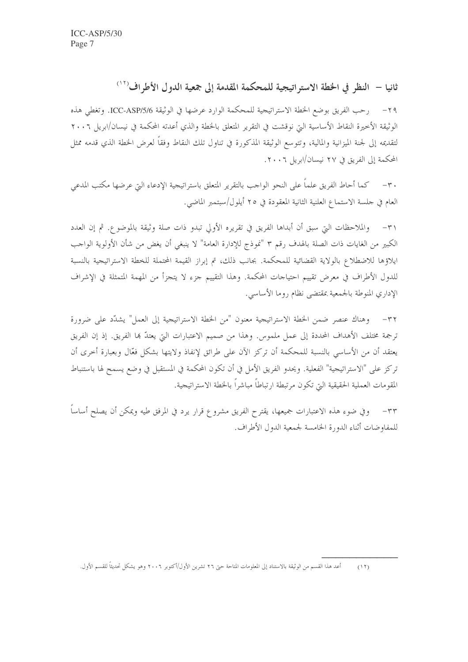ثانيا – النظر في الخطة الاستراتيجية للمحكمة المقدمة إلى جمعية الدول الأطراف<sup>(١٢)</sup>

٢٩− رحب الفريق بوضع الخطة الاستراتيجية للمحكمة الوارد عرضها في الوثيقة ICC-ASP/5/6. وتغطي هذه الوثيقة الأخيرة النقاط الأساسية التي نوقشت في التقرير المتعلق بالخطة والذي أعدته المحكمة في نيسان/ابريل ٢٠٠٦ لتقديمه إلى لجنة الميزانية والمالية، وتتوسع الوثيقة المذكورة في تناول تلك النقاط وفقاً لعرض الخطة الذي قدمه ممثل المحكمة إلى الفريق في ٢٧ نيسان/ابريل ٢٠٠٦.

٣٠– كما أحاط الفريق علماً على النحو الواحب بالتقرير المتعلق باستراتيجية الإدعاء التي عرضها مكتب المدعى العام في جلسة الاستماع العلنية الثانية المعقودة في ٢٥ أيلول/سبتمبر الماضي.

والملاحظات التي سبق أن أبداها الفريق في تقريره الأولى تبدوٍ ذاتٍ صلةٍ وثيقةٍ بالموضوع. ثم إن العدد  $-\tau$ الكبير من الغايات ذات الصلة بالهدف رقم ٣ "نموذج للإدارة العامة" لا ينبغي أن يغض من شأن الأولوية الواحب ايلاؤها للاضطلاع بالولاية القضائية للمحكمة. بحانب ذلك، تم إبراز القيمة المحتملة للخطة الاستراتيجية بالنسبة للدول الأطراف في معرض تقييم احتياجات المحكمة. وهذا التقييم جزء لا يتجزأ من المهمة المتمثلة في الإشراف الإداري المنوطة بالجمعية بمقتضى نظام روما الأساسى.

٣٢– وهناك عنصر ضمن الخطة الاستراتيجية معنون "من الخطة الاستراتيجية إلى العمل" يشدّد على ضرورة ترجمة مختلف الأهداف المحددة إلى عمل ملموس. وهذا من صميم الاعتبارات التي يعتدّ بما الفريق. إذ إن الفريق يعتقد أن من الأساسي بالنسبة للمحكمة أن تركز الآن على طرائق لإنفاذ ولايتها بشكل فعّال وبعبارة أخرى أن تركز على "الاستراتيجية" الفعلية. ويحدو الفريق الأمل في أن تكون المحكمة في المستقبل في وضع يسمح لها باستنباط المقومات العملية الحقيقية التي تكون مرتبطة ارتباطاً مباشراً بالخطة الاستراتيجية.

وفي ضوء هذه الاعتبارات جميعها، يقترح الفريق مشروع قرار يرد في المرفق طيه ويمكن أن يصلح أساساً  $-\tau\tau$ للمفاوضات أثناء الدورة الخامسة لجمعية الدول الأطراف.

أعد هذا القسم من الوثيقة بالاستناد إلى المعلومات المتاحة حتى ٢٦ تشرين الأول/أكتوبر ٢٠٠٦ وهو يشكل تحديثاً للقسم الأول.  $(11)$